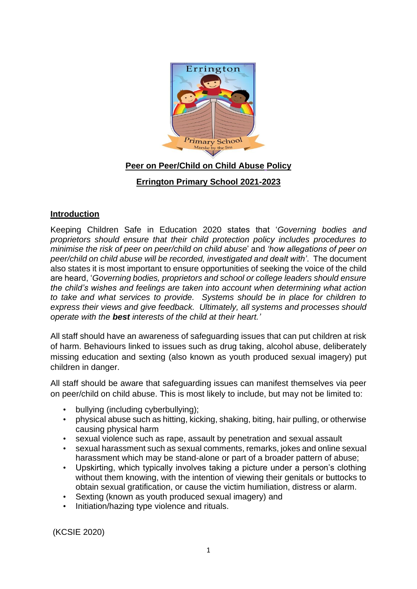

# **Peer on Peer/Child on Child Abuse Policy**

# **Errington Primary School 2021-2023**

### **Introduction**

Keeping Children Safe in Education 2020 states that '*Governing bodies and proprietors should ensure that their child protection policy includes procedures to minimise the risk of peer on peer/child on child abuse*' and *'how allegations of peer on peer/child on child abuse will be recorded, investigated and dealt with'*. The document also states it is most important to ensure opportunities of seeking the voice of the child are heard, '*Governing bodies, proprietors and school or college leaders should ensure the child's wishes and feelings are taken into account when determining what action to take and what services to provide. Systems should be in place for children to express their views and give feedback. Ultimately, all systems and processes should operate with the best interests of the child at their heart.'*

All staff should have an awareness of safeguarding issues that can put children at risk of harm. Behaviours linked to issues such as drug taking, alcohol abuse, deliberately missing education and sexting (also known as youth produced sexual imagery) put children in danger.

All staff should be aware that safeguarding issues can manifest themselves via peer on peer/child on child abuse. This is most likely to include, but may not be limited to:

- bullying (including cyberbullying);
- physical abuse such as hitting, kicking, shaking, biting, hair pulling, or otherwise causing physical harm
- sexual violence such as rape, assault by penetration and sexual assault
- sexual harassment such as sexual comments, remarks, jokes and online sexual harassment which may be stand-alone or part of a broader pattern of abuse;
- Upskirting, which typically involves taking a picture under a person's clothing without them knowing, with the intention of viewing their genitals or buttocks to obtain sexual gratification, or cause the victim humiliation, distress or alarm.
- Sexting (known as youth produced sexual imagery) and
- Initiation/hazing type violence and rituals.

(KCSIE 2020)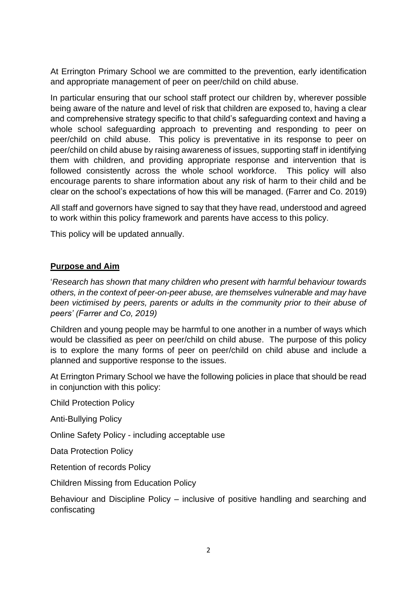At Errington Primary School we are committed to the prevention, early identification and appropriate management of peer on peer/child on child abuse.

In particular ensuring that our school staff protect our children by, wherever possible being aware of the nature and level of risk that children are exposed to, having a clear and comprehensive strategy specific to that child's safeguarding context and having a whole school safeguarding approach to preventing and responding to peer on peer/child on child abuse. This policy is preventative in its response to peer on peer/child on child abuse by raising awareness of issues, supporting staff in identifying them with children, and providing appropriate response and intervention that is followed consistently across the whole school workforce. This policy will also encourage parents to share information about any risk of harm to their child and be clear on the school's expectations of how this will be managed. (Farrer and Co. 2019)

All staff and governors have signed to say that they have read, understood and agreed to work within this policy framework and parents have access to this policy.

This policy will be updated annually.

### **Purpose and Aim**

'*Research has shown that many children who present with harmful behaviour towards others, in the context of peer-on-peer abuse, are themselves vulnerable and may have been victimised by peers, parents or adults in the community prior to their abuse of peers' (Farrer and Co, 2019)*

Children and young people may be harmful to one another in a number of ways which would be classified as peer on peer/child on child abuse. The purpose of this policy is to explore the many forms of peer on peer/child on child abuse and include a planned and supportive response to the issues.

At Errington Primary School we have the following policies in place that should be read in conjunction with this policy:

Child Protection Policy

Anti-Bullying Policy

Online Safety Policy - including acceptable use

Data Protection Policy

Retention of records Policy

Children Missing from Education Policy

Behaviour and Discipline Policy – inclusive of positive handling and searching and confiscating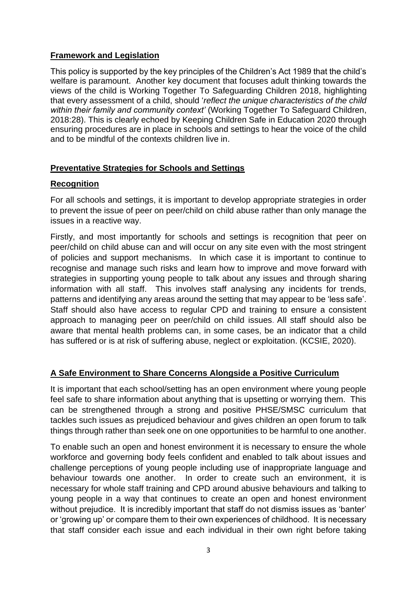#### **Framework and Legislation**

This policy is supported by the key principles of the Children's Act 1989 that the child's welfare is paramount. Another key document that focuses adult thinking towards the views of the child is Working Together To Safeguarding Children 2018, highlighting that every assessment of a child, should '*reflect the unique characteristics of the child within their family and community context'* (Working Together To Safeguard Children, 2018:28). This is clearly echoed by Keeping Children Safe in Education 2020 through ensuring procedures are in place in schools and settings to hear the voice of the child and to be mindful of the contexts children live in.

### **Preventative Strategies for Schools and Settings**

#### **Recognition**

For all schools and settings, it is important to develop appropriate strategies in order to prevent the issue of peer on peer/child on child abuse rather than only manage the issues in a reactive way.

Firstly, and most importantly for schools and settings is recognition that peer on peer/child on child abuse can and will occur on any site even with the most stringent of policies and support mechanisms. In which case it is important to continue to recognise and manage such risks and learn how to improve and move forward with strategies in supporting young people to talk about any issues and through sharing information with all staff. This involves staff analysing any incidents for trends, patterns and identifying any areas around the setting that may appear to be 'less safe'. Staff should also have access to regular CPD and training to ensure a consistent approach to managing peer on peer/child on child issues. All staff should also be aware that mental health problems can, in some cases, be an indicator that a child has suffered or is at risk of suffering abuse, neglect or exploitation. (KCSIE, 2020).

### **A Safe Environment to Share Concerns Alongside a Positive Curriculum**

It is important that each school/setting has an open environment where young people feel safe to share information about anything that is upsetting or worrying them. This can be strengthened through a strong and positive PHSE/SMSC curriculum that tackles such issues as prejudiced behaviour and gives children an open forum to talk things through rather than seek one on one opportunities to be harmful to one another.

To enable such an open and honest environment it is necessary to ensure the whole workforce and governing body feels confident and enabled to talk about issues and challenge perceptions of young people including use of inappropriate language and behaviour towards one another. In order to create such an environment, it is necessary for whole staff training and CPD around abusive behaviours and talking to young people in a way that continues to create an open and honest environment without prejudice. It is incredibly important that staff do not dismiss issues as 'banter' or 'growing up' or compare them to their own experiences of childhood. It is necessary that staff consider each issue and each individual in their own right before taking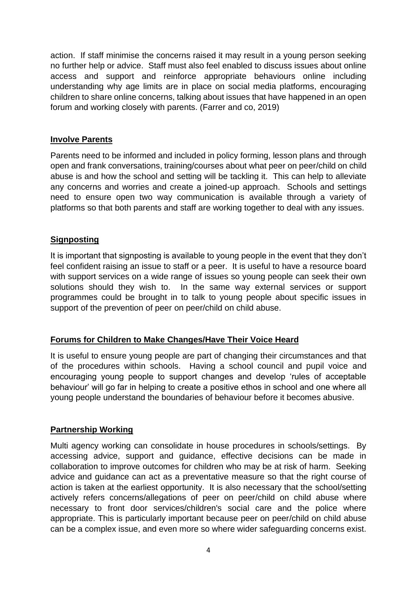action. If staff minimise the concerns raised it may result in a young person seeking no further help or advice. Staff must also feel enabled to discuss issues about online access and support and reinforce appropriate behaviours online including understanding why age limits are in place on social media platforms, encouraging children to share online concerns, talking about issues that have happened in an open forum and working closely with parents. (Farrer and co, 2019)

#### **Involve Parents**

Parents need to be informed and included in policy forming, lesson plans and through open and frank conversations, training/courses about what peer on peer/child on child abuse is and how the school and setting will be tackling it. This can help to alleviate any concerns and worries and create a joined-up approach. Schools and settings need to ensure open two way communication is available through a variety of platforms so that both parents and staff are working together to deal with any issues.

### **Signposting**

It is important that signposting is available to young people in the event that they don't feel confident raising an issue to staff or a peer. It is useful to have a resource board with support services on a wide range of issues so young people can seek their own solutions should they wish to. In the same way external services or support programmes could be brought in to talk to young people about specific issues in support of the prevention of peer on peer/child on child abuse.

### **Forums for Children to Make Changes/Have Their Voice Heard**

It is useful to ensure young people are part of changing their circumstances and that of the procedures within schools. Having a school council and pupil voice and encouraging young people to support changes and develop 'rules of acceptable behaviour' will go far in helping to create a positive ethos in school and one where all young people understand the boundaries of behaviour before it becomes abusive.

### **Partnership Working**

Multi agency working can consolidate in house procedures in schools/settings. By accessing advice, support and guidance, effective decisions can be made in collaboration to improve outcomes for children who may be at risk of harm. Seeking advice and guidance can act as a preventative measure so that the right course of action is taken at the earliest opportunity. It is also necessary that the school/setting actively refers concerns/allegations of peer on peer/child on child abuse where necessary to front door services/children's social care and the police where appropriate. This is particularly important because peer on peer/child on child abuse can be a complex issue, and even more so where wider safeguarding concerns exist.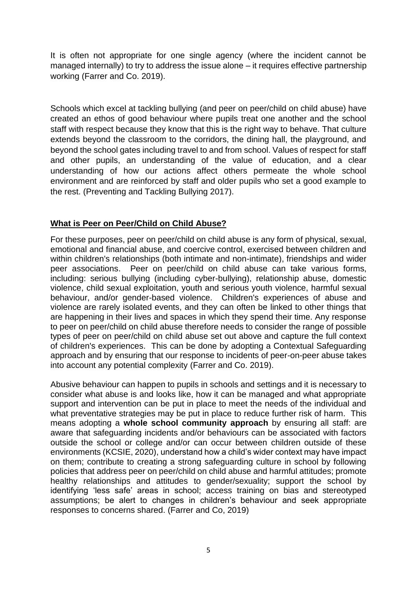It is often not appropriate for one single agency (where the incident cannot be managed internally) to try to address the issue alone – it requires effective partnership working (Farrer and Co. 2019).

Schools which excel at tackling bullying (and peer on peer/child on child abuse) have created an ethos of good behaviour where pupils treat one another and the school staff with respect because they know that this is the right way to behave. That culture extends beyond the classroom to the corridors, the dining hall, the playground, and beyond the school gates including travel to and from school. Values of respect for staff and other pupils, an understanding of the value of education, and a clear understanding of how our actions affect others permeate the whole school environment and are reinforced by staff and older pupils who set a good example to the rest. (Preventing and Tackling Bullying 2017).

### **What is Peer on Peer/Child on Child Abuse?**

For these purposes, peer on peer/child on child abuse is any form of physical, sexual, emotional and financial abuse, and coercive control, exercised between children and within children's relationships (both intimate and non-intimate), friendships and wider peer associations. Peer on peer/child on child abuse can take various forms, including: serious bullying (including cyber-bullying), relationship abuse, domestic violence, child sexual exploitation, youth and serious youth violence, harmful sexual behaviour, and/or gender-based violence. Children's experiences of abuse and violence are rarely isolated events, and they can often be linked to other things that are happening in their lives and spaces in which they spend their time. Any response to peer on peer/child on child abuse therefore needs to consider the range of possible types of peer on peer/child on child abuse set out above and capture the full context of children's experiences. This can be done by adopting a Contextual Safeguarding approach and by ensuring that our response to incidents of peer-on-peer abuse takes into account any potential complexity (Farrer and Co. 2019).

Abusive behaviour can happen to pupils in schools and settings and it is necessary to consider what abuse is and looks like, how it can be managed and what appropriate support and intervention can be put in place to meet the needs of the individual and what preventative strategies may be put in place to reduce further risk of harm. This means adopting a **whole school community approach** by ensuring all staff: are aware that safeguarding incidents and/or behaviours can be associated with factors outside the school or college and/or can occur between children outside of these environments (KCSIE, 2020), understand how a child's wider context may have impact on them; contribute to creating a strong safeguarding culture in school by following policies that address peer on peer/child on child abuse and harmful attitudes; promote healthy relationships and attitudes to gender/sexuality; support the school by identifying 'less safe' areas in school; access training on bias and stereotyped assumptions; be alert to changes in children's behaviour and seek appropriate responses to concerns shared. (Farrer and Co, 2019)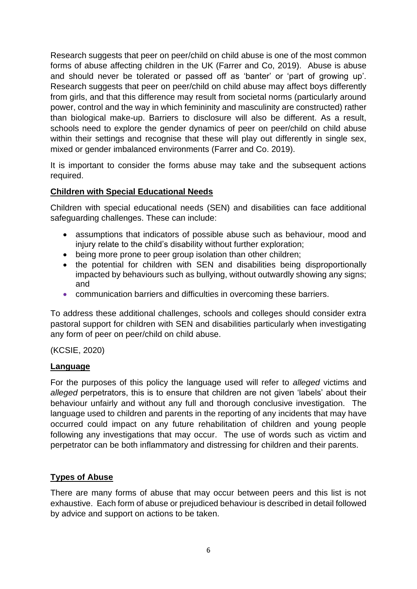Research suggests that peer on peer/child on child abuse is one of the most common forms of abuse affecting children in the UK (Farrer and Co, 2019). Abuse is abuse and should never be tolerated or passed off as 'banter' or 'part of growing up'. Research suggests that peer on peer/child on child abuse may affect boys differently from girls, and that this difference may result from societal norms (particularly around power, control and the way in which femininity and masculinity are constructed) rather than biological make-up. Barriers to disclosure will also be different. As a result, schools need to explore the gender dynamics of peer on peer/child on child abuse within their settings and recognise that these will play out differently in single sex, mixed or gender imbalanced environments (Farrer and Co. 2019).

It is important to consider the forms abuse may take and the subsequent actions required.

### **Children with Special Educational Needs**

Children with special educational needs (SEN) and disabilities can face additional safeguarding challenges. These can include:

- assumptions that indicators of possible abuse such as behaviour, mood and injury relate to the child's disability without further exploration;
- being more prone to peer group isolation than other children;
- the potential for children with SEN and disabilities being disproportionally impacted by behaviours such as bullying, without outwardly showing any signs; and
- communication barriers and difficulties in overcoming these barriers.

To address these additional challenges, schools and colleges should consider extra pastoral support for children with SEN and disabilities particularly when investigating any form of peer on peer/child on child abuse.

### (KCSIE, 2020)

#### **Language**

For the purposes of this policy the language used will refer to *alleged* victims and *alleged* perpetrators, this is to ensure that children are not given 'labels' about their behaviour unfairly and without any full and thorough conclusive investigation. The language used to children and parents in the reporting of any incidents that may have occurred could impact on any future rehabilitation of children and young people following any investigations that may occur. The use of words such as victim and perpetrator can be both inflammatory and distressing for children and their parents.

### **Types of Abuse**

There are many forms of abuse that may occur between peers and this list is not exhaustive. Each form of abuse or prejudiced behaviour is described in detail followed by advice and support on actions to be taken.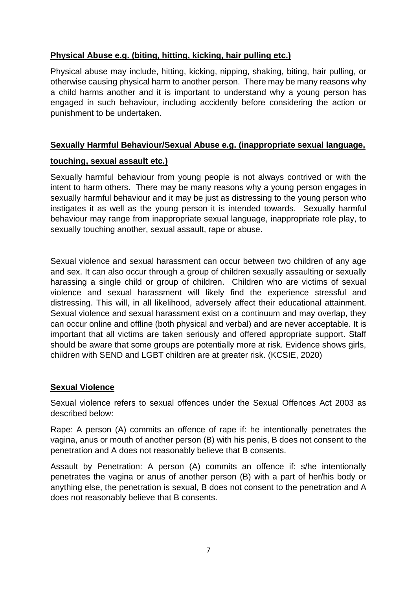# **Physical Abuse e.g. (biting, hitting, kicking, hair pulling etc.)**

Physical abuse may include, hitting, kicking, nipping, shaking, biting, hair pulling, or otherwise causing physical harm to another person. There may be many reasons why a child harms another and it is important to understand why a young person has engaged in such behaviour, including accidently before considering the action or punishment to be undertaken.

### **Sexually Harmful Behaviour/Sexual Abuse e.g. (inappropriate sexual language,**

#### **touching, sexual assault etc.)**

Sexually harmful behaviour from young people is not always contrived or with the intent to harm others. There may be many reasons why a young person engages in sexually harmful behaviour and it may be just as distressing to the young person who instigates it as well as the young person it is intended towards. Sexually harmful behaviour may range from inappropriate sexual language, inappropriate role play, to sexually touching another, sexual assault, rape or abuse.

Sexual violence and sexual harassment can occur between two children of any age and sex. It can also occur through a group of children sexually assaulting or sexually harassing a single child or group of children. Children who are victims of sexual violence and sexual harassment will likely find the experience stressful and distressing. This will, in all likelihood, adversely affect their educational attainment. Sexual violence and sexual harassment exist on a continuum and may overlap, they can occur online and offline (both physical and verbal) and are never acceptable. It is important that all victims are taken seriously and offered appropriate support. Staff should be aware that some groups are potentially more at risk. Evidence shows girls, children with SEND and LGBT children are at greater risk. (KCSIE, 2020)

#### **Sexual Violence**

Sexual violence refers to sexual offences under the Sexual Offences Act 2003 as described below:

Rape: A person (A) commits an offence of rape if: he intentionally penetrates the vagina, anus or mouth of another person (B) with his penis, B does not consent to the penetration and A does not reasonably believe that B consents.

Assault by Penetration: A person (A) commits an offence if: s/he intentionally penetrates the vagina or anus of another person (B) with a part of her/his body or anything else, the penetration is sexual, B does not consent to the penetration and A does not reasonably believe that B consents.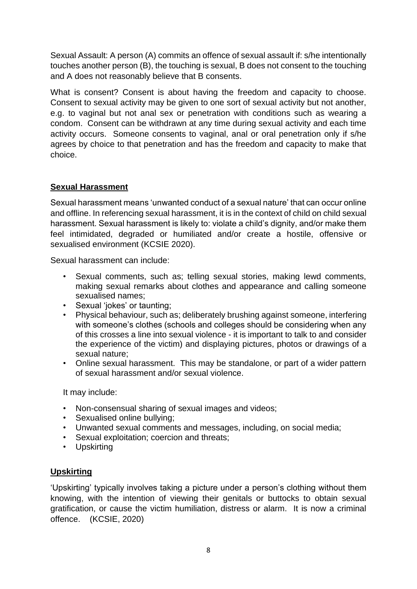Sexual Assault: A person (A) commits an offence of sexual assault if: s/he intentionally touches another person (B), the touching is sexual, B does not consent to the touching and A does not reasonably believe that B consents.

What is consent? Consent is about having the freedom and capacity to choose. Consent to sexual activity may be given to one sort of sexual activity but not another, e.g. to vaginal but not anal sex or penetration with conditions such as wearing a condom. Consent can be withdrawn at any time during sexual activity and each time activity occurs. Someone consents to vaginal, anal or oral penetration only if s/he agrees by choice to that penetration and has the freedom and capacity to make that choice.

# **Sexual Harassment**

Sexual harassment means 'unwanted conduct of a sexual nature' that can occur online and offline. In referencing sexual harassment, it is in the context of child on child sexual harassment. Sexual harassment is likely to: violate a child's dignity, and/or make them feel intimidated, degraded or humiliated and/or create a hostile, offensive or sexualised environment (KCSIE 2020).

Sexual harassment can include:

- Sexual comments, such as; telling sexual stories, making lewd comments, making sexual remarks about clothes and appearance and calling someone sexualised names;
- Sexual 'jokes' or taunting;
- Physical behaviour, such as; deliberately brushing against someone, interfering with someone's clothes (schools and colleges should be considering when any of this crosses a line into sexual violence - it is important to talk to and consider the experience of the victim) and displaying pictures, photos or drawings of a sexual nature;
- Online sexual harassment. This may be standalone, or part of a wider pattern of sexual harassment and/or sexual violence.

It may include:

- Non-consensual sharing of sexual images and videos;
- Sexualised online bullying;
- Unwanted sexual comments and messages, including, on social media;
- Sexual exploitation; coercion and threats;
- Upskirting

### **Upskirting**

'Upskirting' typically involves taking a picture under a person's clothing without them knowing, with the intention of viewing their genitals or buttocks to obtain sexual gratification, or cause the victim humiliation, distress or alarm. It is now a criminal offence. (KCSIE, 2020)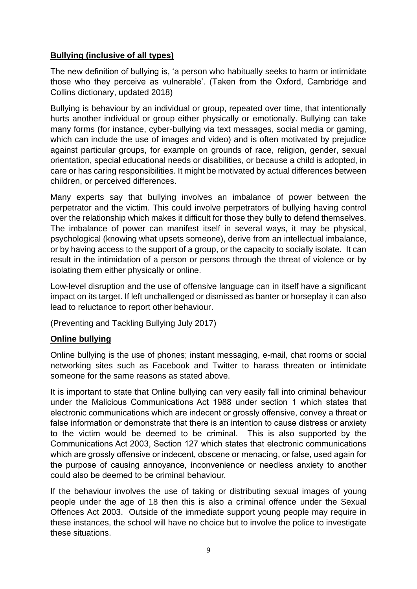# **Bullying (inclusive of all types)**

The new definition of bullying is, 'a person who habitually seeks to harm or intimidate those who they perceive as vulnerable'. (Taken from the Oxford, Cambridge and Collins dictionary, updated 2018)

Bullying is behaviour by an individual or group, repeated over time, that intentionally hurts another individual or group either physically or emotionally. Bullying can take many forms (for instance, cyber-bullying via text messages, social media or gaming, which can include the use of images and video) and is often motivated by prejudice against particular groups, for example on grounds of race, religion, gender, sexual orientation, special educational needs or disabilities, or because a child is adopted, in care or has caring responsibilities. It might be motivated by actual differences between children, or perceived differences.

Many experts say that bullying involves an imbalance of power between the perpetrator and the victim. This could involve perpetrators of bullying having control over the relationship which makes it difficult for those they bully to defend themselves. The imbalance of power can manifest itself in several ways, it may be physical, psychological (knowing what upsets someone), derive from an intellectual imbalance, or by having access to the support of a group, or the capacity to socially isolate. It can result in the intimidation of a person or persons through the threat of violence or by isolating them either physically or online.

Low-level disruption and the use of offensive language can in itself have a significant impact on its target. If left unchallenged or dismissed as banter or horseplay it can also lead to reluctance to report other behaviour.

(Preventing and Tackling Bullying July 2017)

### **Online bullying**

Online bullying is the use of phones; instant messaging, e-mail, chat rooms or social networking sites such as Facebook and Twitter to harass threaten or intimidate someone for the same reasons as stated above.

It is important to state that Online bullying can very easily fall into criminal behaviour under the Malicious Communications Act 1988 under section 1 which states that electronic communications which are indecent or grossly offensive, convey a threat or false information or demonstrate that there is an intention to cause distress or anxiety to the victim would be deemed to be criminal. This is also supported by the Communications Act 2003, Section 127 which states that electronic communications which are grossly offensive or indecent, obscene or menacing, or false, used again for the purpose of causing annoyance, inconvenience or needless anxiety to another could also be deemed to be criminal behaviour.

If the behaviour involves the use of taking or distributing sexual images of young people under the age of 18 then this is also a criminal offence under the Sexual Offences Act 2003. Outside of the immediate support young people may require in these instances, the school will have no choice but to involve the police to investigate these situations.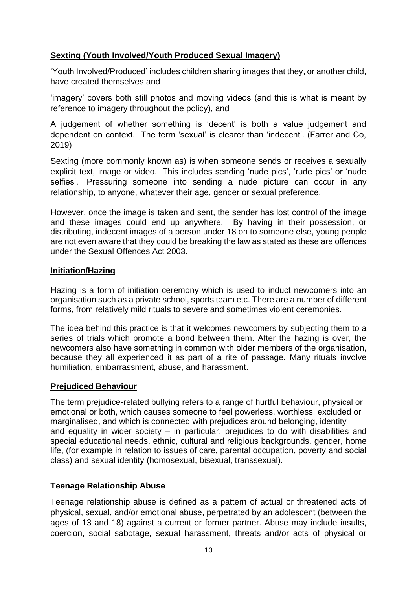# **Sexting (Youth Involved/Youth Produced Sexual Imagery)**

'Youth Involved/Produced' includes children sharing images that they, or another child, have created themselves and

'imagery' covers both still photos and moving videos (and this is what is meant by reference to imagery throughout the policy), and

A judgement of whether something is 'decent' is both a value judgement and dependent on context. The term 'sexual' is clearer than 'indecent'. (Farrer and Co, 2019)

Sexting (more commonly known as) is when someone sends or receives a sexually explicit text, image or video. This includes sending 'nude pics', 'rude pics' or 'nude selfies'. Pressuring someone into sending a nude picture can occur in any relationship, to anyone, whatever their age, gender or sexual preference.

However, once the image is taken and sent, the sender has lost control of the image and these images could end up anywhere. By having in their possession, or distributing, indecent images of a person under 18 on to someone else, young people are not even aware that they could be breaking the law as stated as these are offences under the Sexual Offences Act 2003.

#### **Initiation/Hazing**

Hazing is a form of initiation ceremony which is used to induct newcomers into an organisation such as a private school, sports team etc. There are a number of different forms, from relatively mild rituals to severe and sometimes violent ceremonies.

The idea behind this practice is that it welcomes newcomers by subjecting them to a series of trials which promote a bond between them. After the hazing is over, the newcomers also have something in common with older members of the organisation, because they all experienced it as part of a rite of passage. Many rituals involve humiliation, embarrassment, abuse, and harassment.

### **Prejudiced Behaviour**

The term prejudice-related bullying refers to a range of hurtful behaviour, physical or emotional or both, which causes someone to feel powerless, worthless, excluded or marginalised, and which is connected with prejudices around belonging, identity and equality in wider society – in particular, prejudices to do with disabilities and special educational needs, ethnic, cultural and religious backgrounds, gender, home life, (for example in relation to issues of care, parental occupation, poverty and social class) and sexual identity (homosexual, bisexual, transsexual).

### **Teenage Relationship Abuse**

Teenage relationship abuse is defined as a pattern of actual or threatened acts of physical, sexual, and/or emotional abuse, perpetrated by an adolescent (between the ages of 13 and 18) against a current or former partner. Abuse may include insults, coercion, social sabotage, sexual harassment, threats and/or acts of physical or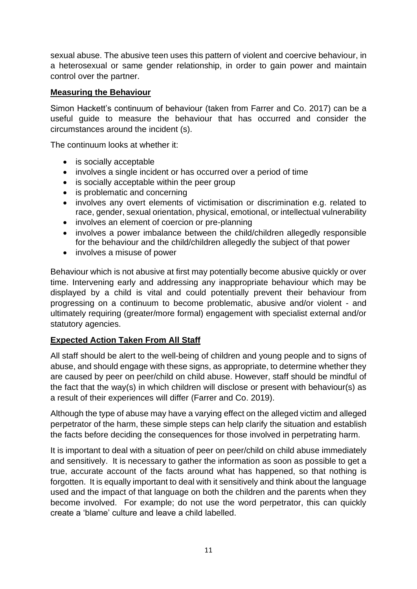sexual abuse. The abusive teen uses this pattern of violent and coercive behaviour, in a heterosexual or same gender relationship, in order to gain power and maintain control over the partner.

# **Measuring the Behaviour**

Simon Hackett's continuum of behaviour (taken from Farrer and Co. 2017) can be a useful guide to measure the behaviour that has occurred and consider the circumstances around the incident (s).

The continuum looks at whether it:

- is socially acceptable
- involves a single incident or has occurred over a period of time
- is socially acceptable within the peer group
- is problematic and concerning
- involves any overt elements of victimisation or discrimination e.g. related to race, gender, sexual orientation, physical, emotional, or intellectual vulnerability
- involves an element of coercion or pre-planning
- involves a power imbalance between the child/children allegedly responsible for the behaviour and the child/children allegedly the subject of that power
- involves a misuse of power

Behaviour which is not abusive at first may potentially become abusive quickly or over time. Intervening early and addressing any inappropriate behaviour which may be displayed by a child is vital and could potentially prevent their behaviour from progressing on a continuum to become problematic, abusive and/or violent - and ultimately requiring (greater/more formal) engagement with specialist external and/or statutory agencies.

### **Expected Action Taken From All Staff**

All staff should be alert to the well-being of children and young people and to signs of abuse, and should engage with these signs, as appropriate, to determine whether they are caused by peer on peer/child on child abuse. However, staff should be mindful of the fact that the way(s) in which children will disclose or present with behaviour(s) as a result of their experiences will differ (Farrer and Co. 2019).

Although the type of abuse may have a varying effect on the alleged victim and alleged perpetrator of the harm, these simple steps can help clarify the situation and establish the facts before deciding the consequences for those involved in perpetrating harm.

It is important to deal with a situation of peer on peer/child on child abuse immediately and sensitively. It is necessary to gather the information as soon as possible to get a true, accurate account of the facts around what has happened, so that nothing is forgotten. It is equally important to deal with it sensitively and think about the language used and the impact of that language on both the children and the parents when they become involved. For example; do not use the word perpetrator, this can quickly create a 'blame' culture and leave a child labelled.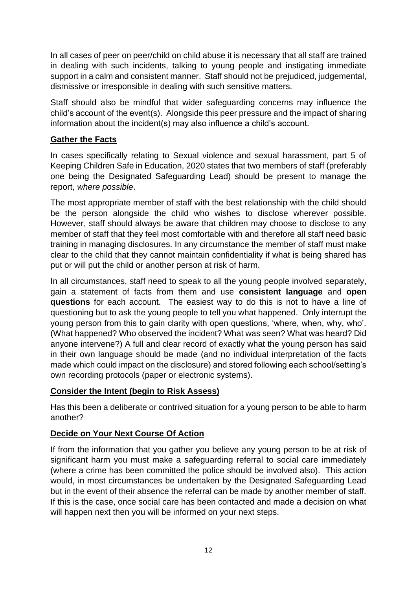In all cases of peer on peer/child on child abuse it is necessary that all staff are trained in dealing with such incidents, talking to young people and instigating immediate support in a calm and consistent manner. Staff should not be prejudiced, judgemental, dismissive or irresponsible in dealing with such sensitive matters.

Staff should also be mindful that wider safeguarding concerns may influence the child's account of the event(s). Alongside this peer pressure and the impact of sharing information about the incident(s) may also influence a child's account.

### **Gather the Facts**

In cases specifically relating to Sexual violence and sexual harassment, part 5 of Keeping Children Safe in Education, 2020 states that two members of staff (preferably one being the Designated Safeguarding Lead) should be present to manage the report, *where possible*.

The most appropriate member of staff with the best relationship with the child should be the person alongside the child who wishes to disclose wherever possible. However, staff should always be aware that children may choose to disclose to any member of staff that they feel most comfortable with and therefore all staff need basic training in managing disclosures. In any circumstance the member of staff must make clear to the child that they cannot maintain confidentiality if what is being shared has put or will put the child or another person at risk of harm.

In all circumstances, staff need to speak to all the young people involved separately, gain a statement of facts from them and use **consistent language** and **open questions** for each account. The easiest way to do this is not to have a line of questioning but to ask the young people to tell you what happened. Only interrupt the young person from this to gain clarity with open questions, 'where, when, why, who'. (What happened? Who observed the incident? What was seen? What was heard? Did anyone intervene?) A full and clear record of exactly what the young person has said in their own language should be made (and no individual interpretation of the facts made which could impact on the disclosure) and stored following each school/setting's own recording protocols (paper or electronic systems).

### **Consider the Intent (begin to Risk Assess)**

Has this been a deliberate or contrived situation for a young person to be able to harm another?

# **Decide on Your Next Course Of Action**

If from the information that you gather you believe any young person to be at risk of significant harm you must make a safeguarding referral to social care immediately (where a crime has been committed the police should be involved also). This action would, in most circumstances be undertaken by the Designated Safeguarding Lead but in the event of their absence the referral can be made by another member of staff. If this is the case, once social care has been contacted and made a decision on what will happen next then you will be informed on your next steps.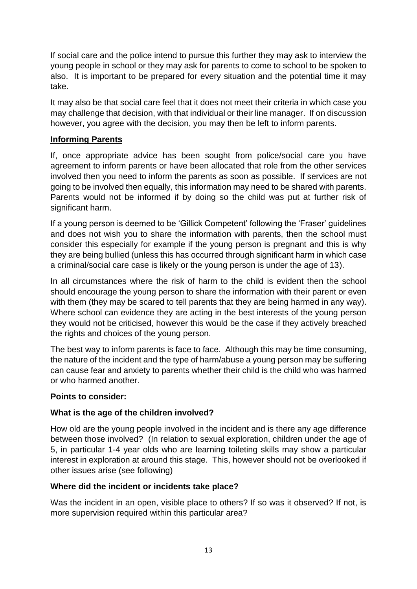If social care and the police intend to pursue this further they may ask to interview the young people in school or they may ask for parents to come to school to be spoken to also. It is important to be prepared for every situation and the potential time it may take.

It may also be that social care feel that it does not meet their criteria in which case you may challenge that decision, with that individual or their line manager. If on discussion however, you agree with the decision, you may then be left to inform parents.

# **Informing Parents**

If, once appropriate advice has been sought from police/social care you have agreement to inform parents or have been allocated that role from the other services involved then you need to inform the parents as soon as possible. If services are not going to be involved then equally, this information may need to be shared with parents. Parents would not be informed if by doing so the child was put at further risk of significant harm.

If a young person is deemed to be 'Gillick Competent' following the 'Fraser' guidelines and does not wish you to share the information with parents, then the school must consider this especially for example if the young person is pregnant and this is why they are being bullied (unless this has occurred through significant harm in which case a criminal/social care case is likely or the young person is under the age of 13).

In all circumstances where the risk of harm to the child is evident then the school should encourage the young person to share the information with their parent or even with them (they may be scared to tell parents that they are being harmed in any way). Where school can evidence they are acting in the best interests of the young person they would not be criticised, however this would be the case if they actively breached the rights and choices of the young person.

The best way to inform parents is face to face. Although this may be time consuming, the nature of the incident and the type of harm/abuse a young person may be suffering can cause fear and anxiety to parents whether their child is the child who was harmed or who harmed another.

### **Points to consider:**

### **What is the age of the children involved?**

How old are the young people involved in the incident and is there any age difference between those involved? (In relation to sexual exploration, children under the age of 5, in particular 1-4 year olds who are learning toileting skills may show a particular interest in exploration at around this stage. This, however should not be overlooked if other issues arise (see following)

### **Where did the incident or incidents take place?**

Was the incident in an open, visible place to others? If so was it observed? If not, is more supervision required within this particular area?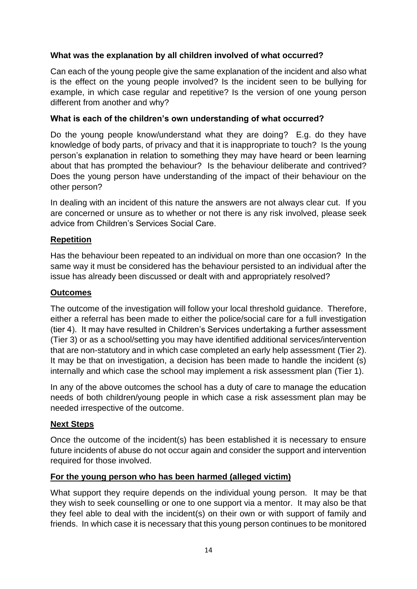# **What was the explanation by all children involved of what occurred?**

Can each of the young people give the same explanation of the incident and also what is the effect on the young people involved? Is the incident seen to be bullying for example, in which case regular and repetitive? Is the version of one young person different from another and why?

### **What is each of the children's own understanding of what occurred?**

Do the young people know/understand what they are doing? E.g. do they have knowledge of body parts, of privacy and that it is inappropriate to touch? Is the young person's explanation in relation to something they may have heard or been learning about that has prompted the behaviour? Is the behaviour deliberate and contrived? Does the young person have understanding of the impact of their behaviour on the other person?

In dealing with an incident of this nature the answers are not always clear cut. If you are concerned or unsure as to whether or not there is any risk involved, please seek advice from Children's Services Social Care.

# **Repetition**

Has the behaviour been repeated to an individual on more than one occasion? In the same way it must be considered has the behaviour persisted to an individual after the issue has already been discussed or dealt with and appropriately resolved?

#### **Outcomes**

The outcome of the investigation will follow your local threshold guidance. Therefore, either a referral has been made to either the police/social care for a full investigation (tier 4). It may have resulted in Children's Services undertaking a further assessment (Tier 3) or as a school/setting you may have identified additional services/intervention that are non-statutory and in which case completed an early help assessment (Tier 2). It may be that on investigation, a decision has been made to handle the incident (s) internally and which case the school may implement a risk assessment plan (Tier 1).

In any of the above outcomes the school has a duty of care to manage the education needs of both children/young people in which case a risk assessment plan may be needed irrespective of the outcome.

### **Next Steps**

Once the outcome of the incident(s) has been established it is necessary to ensure future incidents of abuse do not occur again and consider the support and intervention required for those involved.

### **For the young person who has been harmed (alleged victim)**

What support they require depends on the individual young person. It may be that they wish to seek counselling or one to one support via a mentor. It may also be that they feel able to deal with the incident(s) on their own or with support of family and friends. In which case it is necessary that this young person continues to be monitored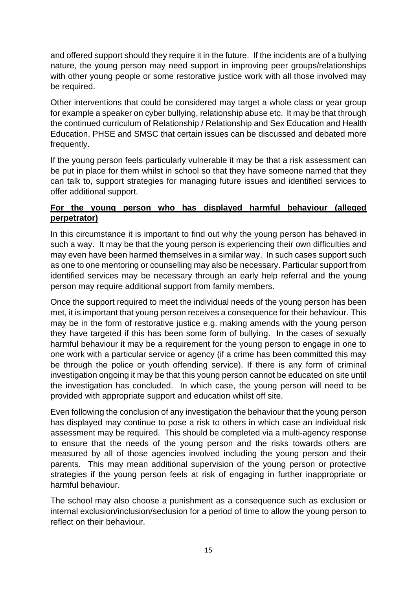and offered support should they require it in the future. If the incidents are of a bullying nature, the young person may need support in improving peer groups/relationships with other young people or some restorative justice work with all those involved may be required.

Other interventions that could be considered may target a whole class or year group for example a speaker on cyber bullying, relationship abuse etc. It may be that through the continued curriculum of Relationship / Relationship and Sex Education and Health Education, PHSE and SMSC that certain issues can be discussed and debated more frequently.

If the young person feels particularly vulnerable it may be that a risk assessment can be put in place for them whilst in school so that they have someone named that they can talk to, support strategies for managing future issues and identified services to offer additional support.

# **For the young person who has displayed harmful behaviour (alleged perpetrator)**

In this circumstance it is important to find out why the young person has behaved in such a way. It may be that the young person is experiencing their own difficulties and may even have been harmed themselves in a similar way. In such cases support such as one to one mentoring or counselling may also be necessary. Particular support from identified services may be necessary through an early help referral and the young person may require additional support from family members.

Once the support required to meet the individual needs of the young person has been met, it is important that young person receives a consequence for their behaviour. This may be in the form of restorative justice e.g. making amends with the young person they have targeted if this has been some form of bullying. In the cases of sexually harmful behaviour it may be a requirement for the young person to engage in one to one work with a particular service or agency (if a crime has been committed this may be through the police or youth offending service). If there is any form of criminal investigation ongoing it may be that this young person cannot be educated on site until the investigation has concluded. In which case, the young person will need to be provided with appropriate support and education whilst off site.

Even following the conclusion of any investigation the behaviour that the young person has displayed may continue to pose a risk to others in which case an individual risk assessment may be required. This should be completed via a multi-agency response to ensure that the needs of the young person and the risks towards others are measured by all of those agencies involved including the young person and their parents. This may mean additional supervision of the young person or protective strategies if the young person feels at risk of engaging in further inappropriate or harmful behaviour.

The school may also choose a punishment as a consequence such as exclusion or internal exclusion/inclusion/seclusion for a period of time to allow the young person to reflect on their behaviour.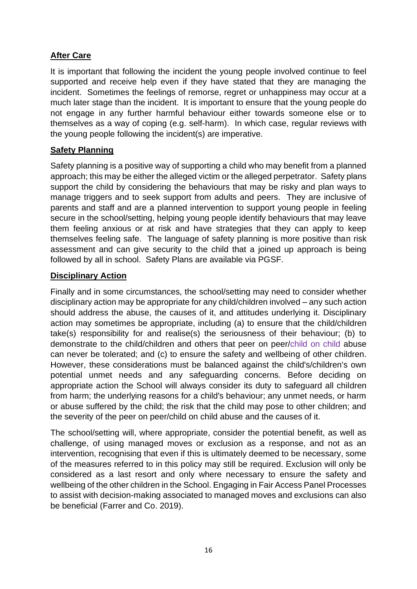# **After Care**

It is important that following the incident the young people involved continue to feel supported and receive help even if they have stated that they are managing the incident. Sometimes the feelings of remorse, regret or unhappiness may occur at a much later stage than the incident. It is important to ensure that the young people do not engage in any further harmful behaviour either towards someone else or to themselves as a way of coping (e.g. self-harm). In which case, regular reviews with the young people following the incident(s) are imperative.

# **Safety Planning**

Safety planning is a positive way of supporting a child who may benefit from a planned approach; this may be either the alleged victim or the alleged perpetrator. Safety plans support the child by considering the behaviours that may be risky and plan ways to manage triggers and to seek support from adults and peers. They are inclusive of parents and staff and are a planned intervention to support young people in feeling secure in the school/setting, helping young people identify behaviours that may leave them feeling anxious or at risk and have strategies that they can apply to keep themselves feeling safe. The language of safety planning is more positive than risk assessment and can give security to the child that a joined up approach is being followed by all in school. Safety Plans are available via PGSF.

### **Disciplinary Action**

Finally and in some circumstances, the school/setting may need to consider whether disciplinary action may be appropriate for any child/children involved – any such action should address the abuse, the causes of it, and attitudes underlying it. Disciplinary action may sometimes be appropriate, including (a) to ensure that the child/children take(s) responsibility for and realise(s) the seriousness of their behaviour; (b) to demonstrate to the child/children and others that peer on peer/child on child abuse can never be tolerated; and (c) to ensure the safety and wellbeing of other children. However, these considerations must be balanced against the child's/children's own potential unmet needs and any safeguarding concerns. Before deciding on appropriate action the School will always consider its duty to safeguard all children from harm; the underlying reasons for a child's behaviour; any unmet needs, or harm or abuse suffered by the child; the risk that the child may pose to other children; and the severity of the peer on peer/child on child abuse and the causes of it.

The school/setting will, where appropriate, consider the potential benefit, as well as challenge, of using managed moves or exclusion as a response, and not as an intervention, recognising that even if this is ultimately deemed to be necessary, some of the measures referred to in this policy may still be required. Exclusion will only be considered as a last resort and only where necessary to ensure the safety and wellbeing of the other children in the School. Engaging in Fair Access Panel Processes to assist with decision-making associated to managed moves and exclusions can also be beneficial (Farrer and Co. 2019).